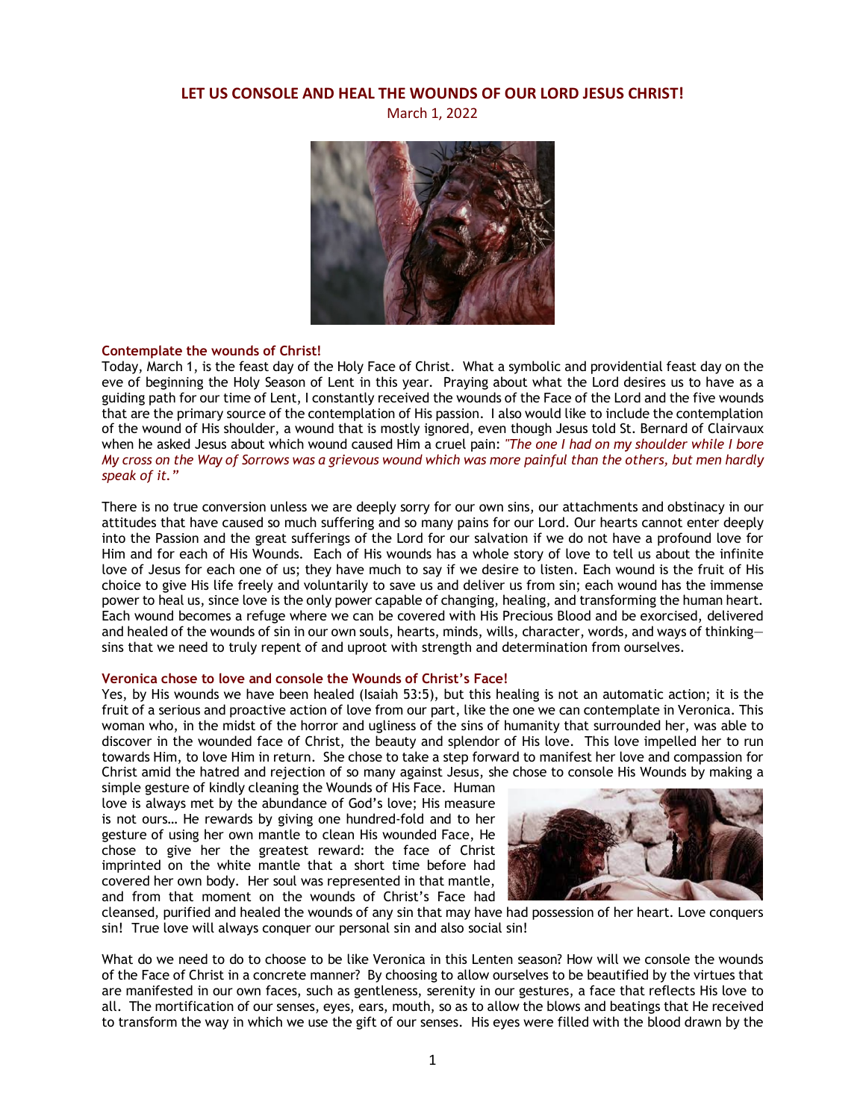# **LET US CONSOLE AND HEAL THE WOUNDS OF OUR LORD JESUS CHRIST!**

March 1, 2022



#### **Contemplate the wounds of Christ!**

Today, March 1, is the feast day of the Holy Face of Christ. What a symbolic and providential feast day on the eve of beginning the Holy Season of Lent in this year. Praying about what the Lord desires us to have as a guiding path for our time of Lent, I constantly received the wounds of the Face of the Lord and the five wounds that are the primary source of the contemplation of His passion. I also would like to include the contemplation of the wound of His shoulder, a wound that is mostly ignored, even though Jesus told St. Bernard of Clairvaux when he asked Jesus about which wound caused Him a cruel pain: *"The one I had on my shoulder while I bore My cross on the Way of Sorrows was a grievous wound which was more painful than the others, but men hardly speak of it."*

There is no true conversion unless we are deeply sorry for our own sins, our attachments and obstinacy in our attitudes that have caused so much suffering and so many pains for our Lord. Our hearts cannot enter deeply into the Passion and the great sufferings of the Lord for our salvation if we do not have a profound love for Him and for each of His Wounds. Each of His wounds has a whole story of love to tell us about the infinite love of Jesus for each one of us; they have much to say if we desire to listen. Each wound is the fruit of His choice to give His life freely and voluntarily to save us and deliver us from sin; each wound has the immense power to heal us, since love is the only power capable of changing, healing, and transforming the human heart. Each wound becomes a refuge where we can be covered with His Precious Blood and be exorcised, delivered and healed of the wounds of sin in our own souls, hearts, minds, wills, character, words, and ways of thinking sins that we need to truly repent of and uproot with strength and determination from ourselves.

#### **Veronica chose to love and console the Wounds of Christ's Face!**

Yes, by His wounds we have been healed (Isaiah 53:5), but this healing is not an automatic action; it is the fruit of a serious and proactive action of love from our part, like the one we can contemplate in Veronica. This woman who, in the midst of the horror and ugliness of the sins of humanity that surrounded her, was able to discover in the wounded face of Christ, the beauty and splendor of His love. This love impelled her to run towards Him, to love Him in return. She chose to take a step forward to manifest her love and compassion for Christ amid the hatred and rejection of so many against Jesus, she chose to console His Wounds by making a

simple gesture of kindly cleaning the Wounds of His Face. Human love is always met by the abundance of God's love; His measure is not ours… He rewards by giving one hundred-fold and to her gesture of using her own mantle to clean His wounded Face, He chose to give her the greatest reward: the face of Christ imprinted on the white mantle that a short time before had covered her own body. Her soul was represented in that mantle, and from that moment on the wounds of Christ's Face had



cleansed, purified and healed the wounds of any sin that may have had possession of her heart. Love conquers sin! True love will always conquer our personal sin and also social sin!

What do we need to do to choose to be like Veronica in this Lenten season? How will we console the wounds of the Face of Christ in a concrete manner? By choosing to allow ourselves to be beautified by the virtues that are manifested in our own faces, such as gentleness, serenity in our gestures, a face that reflects His love to all. The mortification of our senses, eyes, ears, mouth, so as to allow the blows and beatings that He received to transform the way in which we use the gift of our senses. His eyes were filled with the blood drawn by the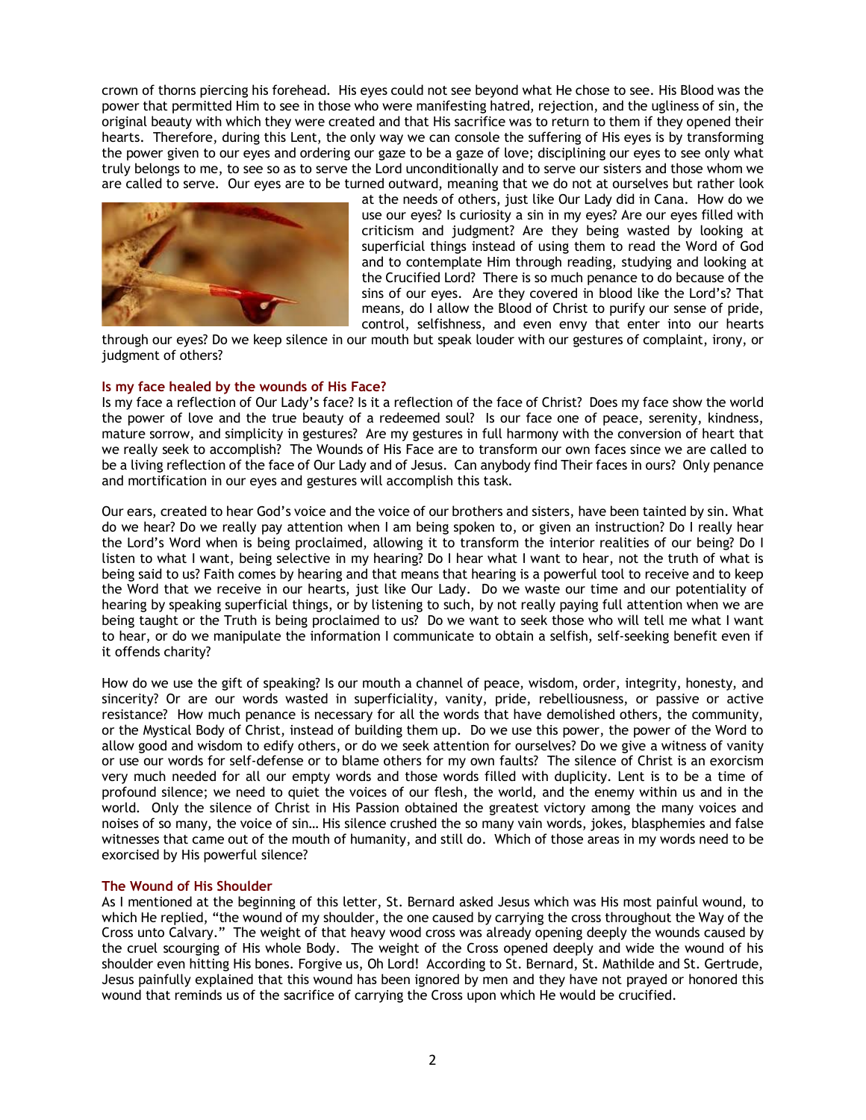crown of thorns piercing his forehead. His eyes could not see beyond what He chose to see. His Blood was the power that permitted Him to see in those who were manifesting hatred, rejection, and the ugliness of sin, the original beauty with which they were created and that His sacrifice was to return to them if they opened their hearts. Therefore, during this Lent, the only way we can console the suffering of His eyes is by transforming the power given to our eyes and ordering our gaze to be a gaze of love; disciplining our eyes to see only what truly belongs to me, to see so as to serve the Lord unconditionally and to serve our sisters and those whom we are called to serve. Our eyes are to be turned outward, meaning that we do not at ourselves but rather look



at the needs of others, just like Our Lady did in Cana. How do we use our eyes? Is curiosity a sin in my eyes? Are our eyes filled with criticism and judgment? Are they being wasted by looking at superficial things instead of using them to read the Word of God and to contemplate Him through reading, studying and looking at the Crucified Lord? There is so much penance to do because of the sins of our eyes. Are they covered in blood like the Lord's? That means, do I allow the Blood of Christ to purify our sense of pride, control, selfishness, and even envy that enter into our hearts

through our eyes? Do we keep silence in our mouth but speak louder with our gestures of complaint, irony, or judgment of others?

## **Is my face healed by the wounds of His Face?**

Is my face a reflection of Our Lady's face? Is it a reflection of the face of Christ? Does my face show the world the power of love and the true beauty of a redeemed soul? Is our face one of peace, serenity, kindness, mature sorrow, and simplicity in gestures? Are my gestures in full harmony with the conversion of heart that we really seek to accomplish? The Wounds of His Face are to transform our own faces since we are called to be a living reflection of the face of Our Lady and of Jesus. Can anybody find Their faces in ours? Only penance and mortification in our eyes and gestures will accomplish this task.

Our ears, created to hear God's voice and the voice of our brothers and sisters, have been tainted by sin. What do we hear? Do we really pay attention when I am being spoken to, or given an instruction? Do I really hear the Lord's Word when is being proclaimed, allowing it to transform the interior realities of our being? Do I listen to what I want, being selective in my hearing? Do I hear what I want to hear, not the truth of what is being said to us? Faith comes by hearing and that means that hearing is a powerful tool to receive and to keep the Word that we receive in our hearts, just like Our Lady. Do we waste our time and our potentiality of hearing by speaking superficial things, or by listening to such, by not really paying full attention when we are being taught or the Truth is being proclaimed to us? Do we want to seek those who will tell me what I want to hear, or do we manipulate the information I communicate to obtain a selfish, self-seeking benefit even if it offends charity?

How do we use the gift of speaking? Is our mouth a channel of peace, wisdom, order, integrity, honesty, and sincerity? Or are our words wasted in superficiality, vanity, pride, rebelliousness, or passive or active resistance? How much penance is necessary for all the words that have demolished others, the community, or the Mystical Body of Christ, instead of building them up. Do we use this power, the power of the Word to allow good and wisdom to edify others, or do we seek attention for ourselves? Do we give a witness of vanity or use our words for self-defense or to blame others for my own faults? The silence of Christ is an exorcism very much needed for all our empty words and those words filled with duplicity. Lent is to be a time of profound silence; we need to quiet the voices of our flesh, the world, and the enemy within us and in the world. Only the silence of Christ in His Passion obtained the greatest victory among the many voices and noises of so many, the voice of sin… His silence crushed the so many vain words, jokes, blasphemies and false witnesses that came out of the mouth of humanity, and still do. Which of those areas in my words need to be exorcised by His powerful silence?

## **The Wound of His Shoulder**

As I mentioned at the beginning of this letter, St. Bernard asked Jesus which was His most painful wound, to which He replied, "the wound of my shoulder, the one caused by carrying the cross throughout the Way of the Cross unto Calvary." The weight of that heavy wood cross was already opening deeply the wounds caused by the cruel scourging of His whole Body. The weight of the Cross opened deeply and wide the wound of his shoulder even hitting His bones. Forgive us, Oh Lord! According to St. Bernard, St. Mathilde and St. Gertrude, Jesus painfully explained that this wound has been ignored by men and they have not prayed or honored this wound that reminds us of the sacrifice of carrying the Cross upon which He would be crucified.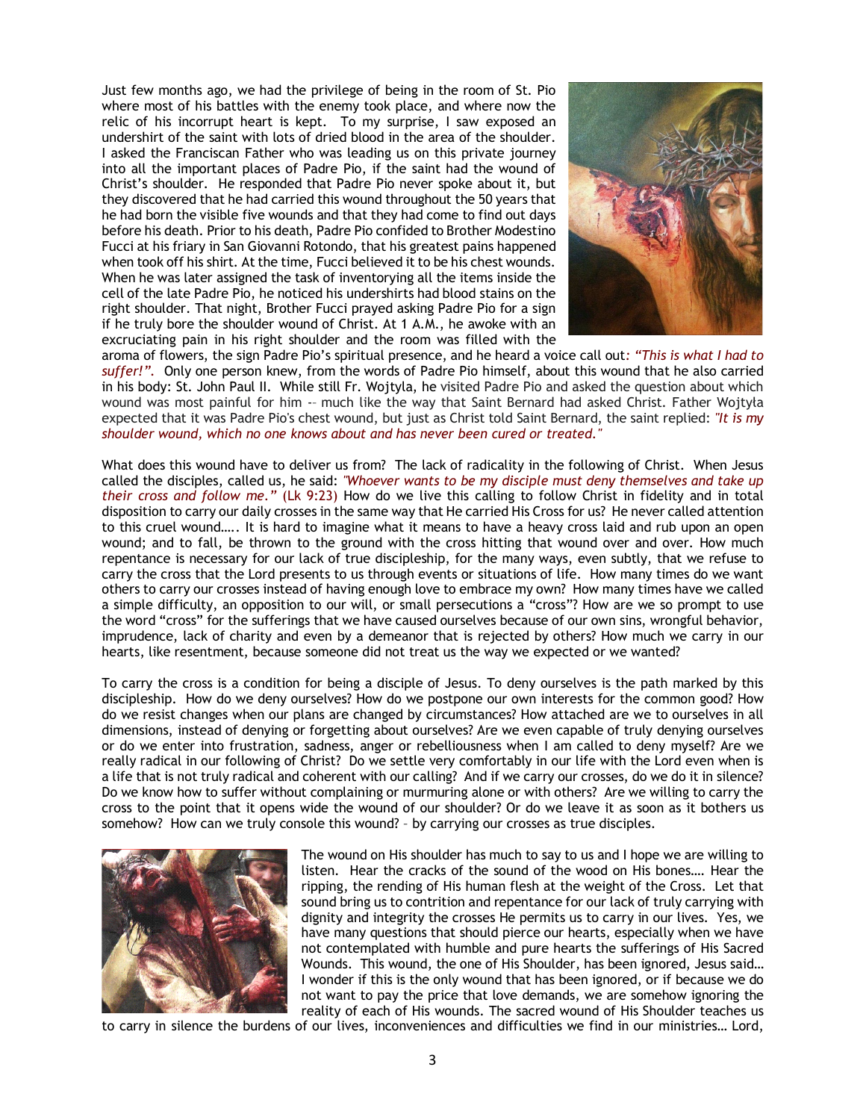Just few months ago, we had the privilege of being in the room of St. Pio where most of his battles with the enemy took place, and where now the relic of his incorrupt heart is kept. To my surprise, I saw exposed an undershirt of the saint with lots of dried blood in the area of the shoulder. I asked the Franciscan Father who was leading us on this private journey into all the important places of Padre Pio, if the saint had the wound of Christ's shoulder. He responded that Padre Pio never spoke about it, but they discovered that he had carried this wound throughout the 50 years that he had born the visible five wounds and that they had come to find out days before his death. Prior to his death, Padre Pio confided to Brother Modestino Fucci at his friary in San Giovanni Rotondo, that his greatest pains happened when took off his shirt. At the time, Fucci believed it to be his chest wounds. When he was later assigned the task of inventorying all the items inside the cell of the late Padre Pio, he noticed his undershirts had blood stains on the right shoulder. That night, Brother Fucci prayed asking Padre Pio for a sign if he truly bore the shoulder wound of Christ. At 1 A.M., he awoke with an excruciating pain in his right shoulder and the room was filled with the



aroma of flowers, the sign Padre Pio's spiritual presence, and he heard a voice call out*: "This is what I had to suffer!".* Only one person knew, from the words of Padre Pio himself, about this wound that he also carried in his body: St. John Paul II. While still Fr. Wojtyla, he visited Padre Pio and asked the question about which wound was most painful for him -– much like the way that Saint Bernard had asked Christ. Father Wojtyła expected that it was Padre Pio's chest wound, but just as Christ told Saint Bernard, the saint replied: *"It is my shoulder wound, which no one knows about and has never been cured or treated."*

What does this wound have to deliver us from? The lack of radicality in the following of Christ. When Jesus called the disciples, called us, he said: *"Whoever wants to be my disciple must deny themselves and take up their cross and follow me."* (Lk 9:23) How do we live this calling to follow Christ in fidelity and in total disposition to carry our daily crosses in the same way that He carried His Cross for us? He never called attention to this cruel wound….. It is hard to imagine what it means to have a heavy cross laid and rub upon an open wound; and to fall, be thrown to the ground with the cross hitting that wound over and over. How much repentance is necessary for our lack of true discipleship, for the many ways, even subtly, that we refuse to carry the cross that the Lord presents to us through events or situations of life. How many times do we want others to carry our crosses instead of having enough love to embrace my own? How many times have we called a simple difficulty, an opposition to our will, or small persecutions a "cross"? How are we so prompt to use the word "cross" for the sufferings that we have caused ourselves because of our own sins, wrongful behavior, imprudence, lack of charity and even by a demeanor that is rejected by others? How much we carry in our hearts, like resentment, because someone did not treat us the way we expected or we wanted?

To carry the cross is a condition for being a disciple of Jesus. To deny ourselves is the path marked by this discipleship. How do we deny ourselves? How do we postpone our own interests for the common good? How do we resist changes when our plans are changed by circumstances? How attached are we to ourselves in all dimensions, instead of denying or forgetting about ourselves? Are we even capable of truly denying ourselves or do we enter into frustration, sadness, anger or rebelliousness when I am called to deny myself? Are we really radical in our following of Christ? Do we settle very comfortably in our life with the Lord even when is a life that is not truly radical and coherent with our calling? And if we carry our crosses, do we do it in silence? Do we know how to suffer without complaining or murmuring alone or with others? Are we willing to carry the cross to the point that it opens wide the wound of our shoulder? Or do we leave it as soon as it bothers us somehow? How can we truly console this wound? – by carrying our crosses as true disciples.



The wound on His shoulder has much to say to us and I hope we are willing to listen. Hear the cracks of the sound of the wood on His bones…. Hear the ripping, the rending of His human flesh at the weight of the Cross. Let that sound bring us to contrition and repentance for our lack of truly carrying with dignity and integrity the crosses He permits us to carry in our lives. Yes, we have many questions that should pierce our hearts, especially when we have not contemplated with humble and pure hearts the sufferings of His Sacred Wounds. This wound, the one of His Shoulder, has been ignored, Jesus said… I wonder if this is the only wound that has been ignored, or if because we do not want to pay the price that love demands, we are somehow ignoring the reality of each of His wounds. The sacred wound of His Shoulder teaches us

to carry in silence the burdens of our lives, inconveniences and difficulties we find in our ministries… Lord,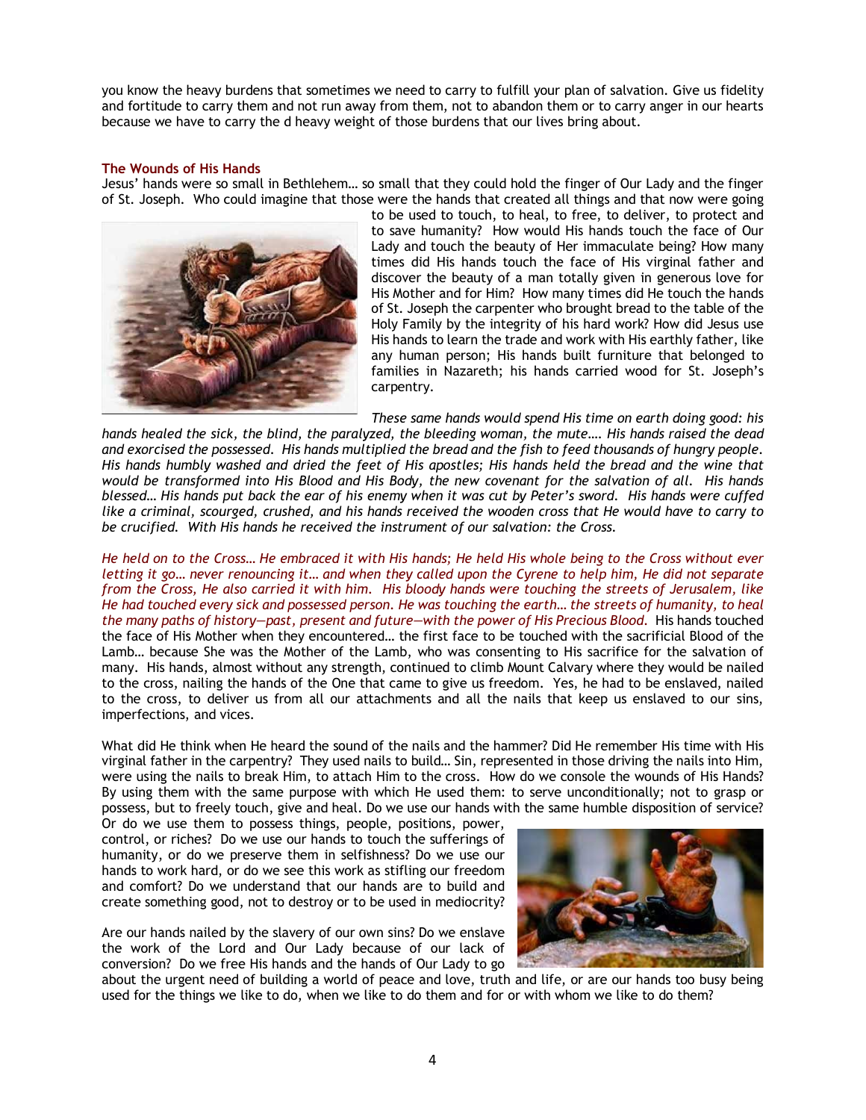you know the heavy burdens that sometimes we need to carry to fulfill your plan of salvation. Give us fidelity and fortitude to carry them and not run away from them, not to abandon them or to carry anger in our hearts because we have to carry the d heavy weight of those burdens that our lives bring about.

## **The Wounds of His Hands**

Jesus' hands were so small in Bethlehem… so small that they could hold the finger of Our Lady and the finger of St. Joseph. Who could imagine that those were the hands that created all things and that now were going



to be used to touch, to heal, to free, to deliver, to protect and to save humanity? How would His hands touch the face of Our Lady and touch the beauty of Her immaculate being? How many times did His hands touch the face of His virginal father and discover the beauty of a man totally given in generous love for His Mother and for Him? How many times did He touch the hands of St. Joseph the carpenter who brought bread to the table of the Holy Family by the integrity of his hard work? How did Jesus use His hands to learn the trade and work with His earthly father, like any human person; His hands built furniture that belonged to families in Nazareth; his hands carried wood for St. Joseph's carpentry.

*These same hands would spend His time on earth doing good: his hands healed the sick, the blind, the paralyzed, the bleeding woman, the mute…. His hands raised the dead and exorcised the possessed. His hands multiplied the bread and the fish to feed thousands of hungry people. His hands humbly washed and dried the feet of His apostles; His hands held the bread and the wine that would be transformed into His Blood and His Body, the new covenant for the salvation of all. His hands blessed… His hands put back the ear of his enemy when it was cut by Peter's sword. His hands were cuffed like a criminal, scourged, crushed, and his hands received the wooden cross that He would have to carry to be crucified. With His hands he received the instrument of our salvation: the Cross.* 

*He held on to the Cross… He embraced it with His hands; He held His whole being to the Cross without ever letting it go… never renouncing it… and when they called upon the Cyrene to help him, He did not separate from the Cross, He also carried it with him. His bloody hands were touching the streets of Jerusalem, like He had touched every sick and possessed person. He was touching the earth… the streets of humanity, to heal the many paths of history—past, present and future—with the power of His Precious Blood.* His hands touched the face of His Mother when they encountered… the first face to be touched with the sacrificial Blood of the Lamb… because She was the Mother of the Lamb, who was consenting to His sacrifice for the salvation of many. His hands, almost without any strength, continued to climb Mount Calvary where they would be nailed to the cross, nailing the hands of the One that came to give us freedom. Yes, he had to be enslaved, nailed to the cross, to deliver us from all our attachments and all the nails that keep us enslaved to our sins, imperfections, and vices.

What did He think when He heard the sound of the nails and the hammer? Did He remember His time with His virginal father in the carpentry? They used nails to build… Sin, represented in those driving the nails into Him, were using the nails to break Him, to attach Him to the cross. How do we console the wounds of His Hands? By using them with the same purpose with which He used them: to serve unconditionally; not to grasp or possess, but to freely touch, give and heal. Do we use our hands with the same humble disposition of service?

Or do we use them to possess things, people, positions, power, control, or riches? Do we use our hands to touch the sufferings of humanity, or do we preserve them in selfishness? Do we use our hands to work hard, or do we see this work as stifling our freedom and comfort? Do we understand that our hands are to build and create something good, not to destroy or to be used in mediocrity?

Are our hands nailed by the slavery of our own sins? Do we enslave the work of the Lord and Our Lady because of our lack of conversion? Do we free His hands and the hands of Our Lady to go



about the urgent need of building a world of peace and love, truth and life, or are our hands too busy being used for the things we like to do, when we like to do them and for or with whom we like to do them?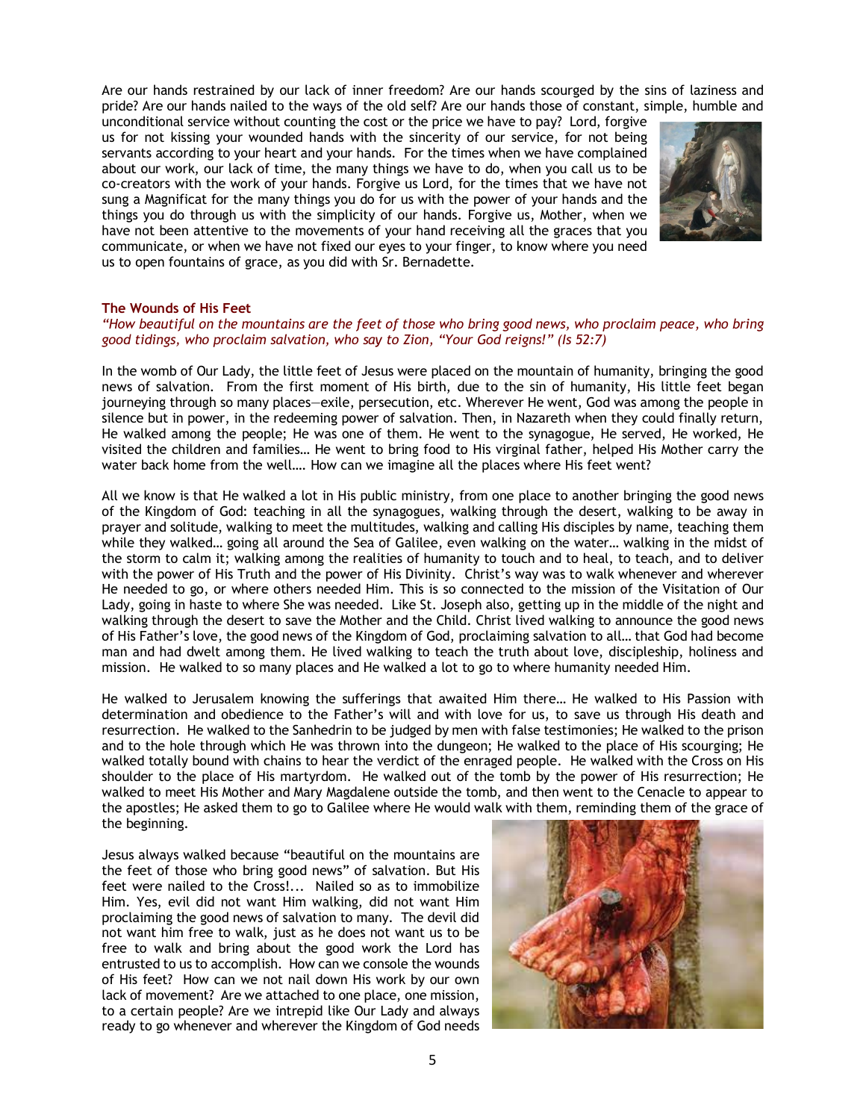Are our hands restrained by our lack of inner freedom? Are our hands scourged by the sins of laziness and pride? Are our hands nailed to the ways of the old self? Are our hands those of constant, simple, humble and

unconditional service without counting the cost or the price we have to pay? Lord, forgive us for not kissing your wounded hands with the sincerity of our service, for not being servants according to your heart and your hands. For the times when we have complained about our work, our lack of time, the many things we have to do, when you call us to be co-creators with the work of your hands. Forgive us Lord, for the times that we have not sung a Magnificat for the many things you do for us with the power of your hands and the things you do through us with the simplicity of our hands. Forgive us, Mother, when we have not been attentive to the movements of your hand receiving all the graces that you communicate, or when we have not fixed our eyes to your finger, to know where you need us to open fountains of grace, as you did with Sr. Bernadette.



## **The Wounds of His Feet**

*"How beautiful on the mountains are the feet of those who bring good news, who proclaim peace, who bring good tidings, who proclaim salvation, who say to Zion, "Your God reigns!" (Is 52:7)*

In the womb of Our Lady, the little feet of Jesus were placed on the mountain of humanity, bringing the good news of salvation. From the first moment of His birth, due to the sin of humanity, His little feet began journeying through so many places—exile, persecution, etc. Wherever He went, God was among the people in silence but in power, in the redeeming power of salvation. Then, in Nazareth when they could finally return, He walked among the people; He was one of them. He went to the synagogue, He served, He worked, He visited the children and families… He went to bring food to His virginal father, helped His Mother carry the water back home from the well…. How can we imagine all the places where His feet went?

All we know is that He walked a lot in His public ministry, from one place to another bringing the good news of the Kingdom of God: teaching in all the synagogues, walking through the desert, walking to be away in prayer and solitude, walking to meet the multitudes, walking and calling His disciples by name, teaching them while they walked… going all around the Sea of Galilee, even walking on the water… walking in the midst of the storm to calm it; walking among the realities of humanity to touch and to heal, to teach, and to deliver with the power of His Truth and the power of His Divinity. Christ's way was to walk whenever and wherever He needed to go, or where others needed Him. This is so connected to the mission of the Visitation of Our Lady, going in haste to where She was needed. Like St. Joseph also, getting up in the middle of the night and walking through the desert to save the Mother and the Child. Christ lived walking to announce the good news of His Father's love, the good news of the Kingdom of God, proclaiming salvation to all… that God had become man and had dwelt among them. He lived walking to teach the truth about love, discipleship, holiness and mission. He walked to so many places and He walked a lot to go to where humanity needed Him.

He walked to Jerusalem knowing the sufferings that awaited Him there… He walked to His Passion with determination and obedience to the Father's will and with love for us, to save us through His death and resurrection. He walked to the Sanhedrin to be judged by men with false testimonies; He walked to the prison and to the hole through which He was thrown into the dungeon; He walked to the place of His scourging; He walked totally bound with chains to hear the verdict of the enraged people. He walked with the Cross on His shoulder to the place of His martyrdom. He walked out of the tomb by the power of His resurrection; He walked to meet His Mother and Mary Magdalene outside the tomb, and then went to the Cenacle to appear to the apostles; He asked them to go to Galilee where He would walk with them, reminding them of the grace of the beginning.

Jesus always walked because "beautiful on the mountains are the feet of those who bring good news" of salvation. But His feet were nailed to the Cross!... Nailed so as to immobilize Him. Yes, evil did not want Him walking, did not want Him proclaiming the good news of salvation to many. The devil did not want him free to walk, just as he does not want us to be free to walk and bring about the good work the Lord has entrusted to us to accomplish. How can we console the wounds of His feet? How can we not nail down His work by our own lack of movement? Are we attached to one place, one mission, to a certain people? Are we intrepid like Our Lady and always ready to go whenever and wherever the Kingdom of God needs

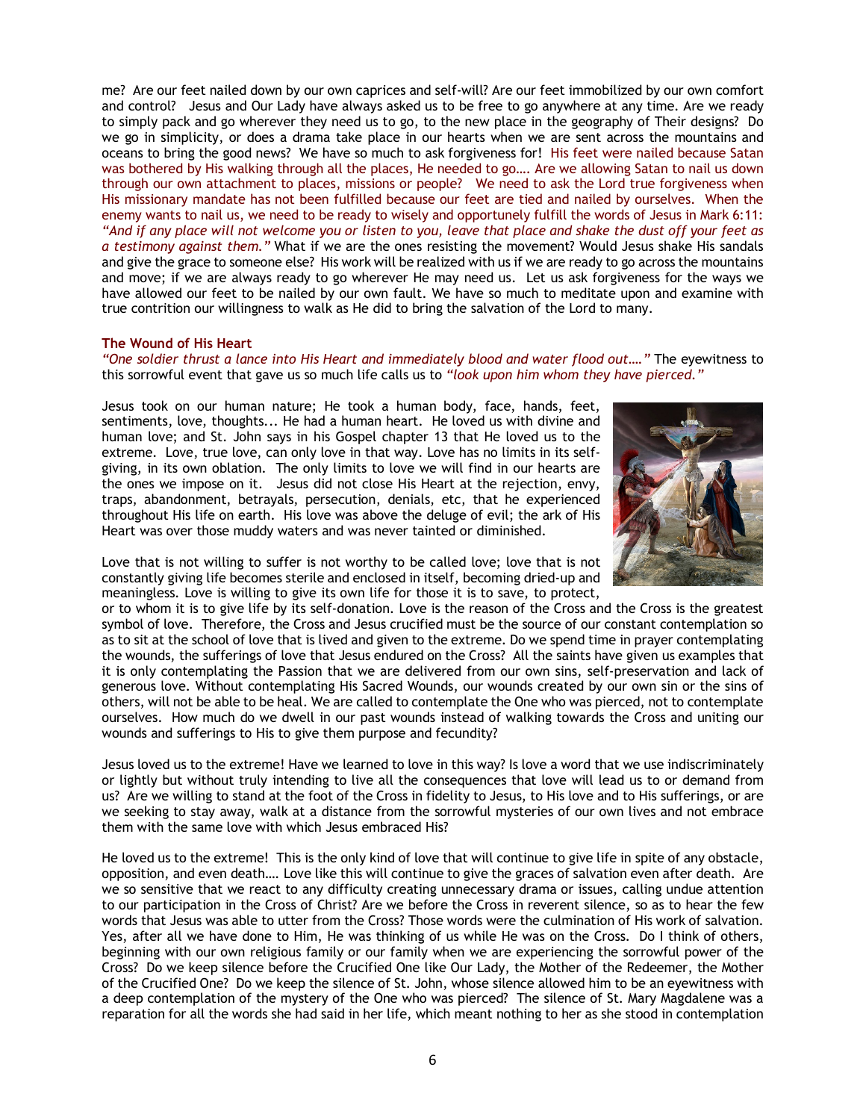me? Are our feet nailed down by our own caprices and self-will? Are our feet immobilized by our own comfort and control? Jesus and Our Lady have always asked us to be free to go anywhere at any time. Are we ready to simply pack and go wherever they need us to go, to the new place in the geography of Their designs? Do we go in simplicity, or does a drama take place in our hearts when we are sent across the mountains and oceans to bring the good news? We have so much to ask forgiveness for! His feet were nailed because Satan was bothered by His walking through all the places, He needed to go…. Are we allowing Satan to nail us down through our own attachment to places, missions or people? We need to ask the Lord true forgiveness when His missionary mandate has not been fulfilled because our feet are tied and nailed by ourselves. When the enemy wants to nail us, we need to be ready to wisely and opportunely fulfill the words of Jesus in Mark 6:11: *"And if any place will not welcome you or listen to you, leave that place and shake the dust off your feet as a testimony against them."* What if we are the ones resisting the movement? Would Jesus shake His sandals and give the grace to someone else? His work will be realized with us if we are ready to go across the mountains and move; if we are always ready to go wherever He may need us. Let us ask forgiveness for the ways we have allowed our feet to be nailed by our own fault. We have so much to meditate upon and examine with true contrition our willingness to walk as He did to bring the salvation of the Lord to many.

## **The Wound of His Heart**

*"One soldier thrust a lance into His Heart and immediately blood and water flood out…."* The eyewitness to this sorrowful event that gave us so much life calls us to *"look upon him whom they have pierced."*

Jesus took on our human nature; He took a human body, face, hands, feet, sentiments, love, thoughts... He had a human heart. He loved us with divine and human love; and St. John says in his Gospel chapter 13 that He loved us to the extreme. Love, true love, can only love in that way. Love has no limits in its selfgiving, in its own oblation. The only limits to love we will find in our hearts are the ones we impose on it. Jesus did not close His Heart at the rejection, envy, traps, abandonment, betrayals, persecution, denials, etc, that he experienced throughout His life on earth. His love was above the deluge of evil; the ark of His Heart was over those muddy waters and was never tainted or diminished.



Love that is not willing to suffer is not worthy to be called love; love that is not constantly giving life becomes sterile and enclosed in itself, becoming dried-up and meaningless. Love is willing to give its own life for those it is to save, to protect,

or to whom it is to give life by its self-donation. Love is the reason of the Cross and the Cross is the greatest symbol of love. Therefore, the Cross and Jesus crucified must be the source of our constant contemplation so as to sit at the school of love that is lived and given to the extreme. Do we spend time in prayer contemplating the wounds, the sufferings of love that Jesus endured on the Cross? All the saints have given us examples that it is only contemplating the Passion that we are delivered from our own sins, self-preservation and lack of generous love. Without contemplating His Sacred Wounds, our wounds created by our own sin or the sins of others, will not be able to be heal. We are called to contemplate the One who was pierced, not to contemplate ourselves. How much do we dwell in our past wounds instead of walking towards the Cross and uniting our wounds and sufferings to His to give them purpose and fecundity?

Jesus loved us to the extreme! Have we learned to love in this way? Is love a word that we use indiscriminately or lightly but without truly intending to live all the consequences that love will lead us to or demand from us? Are we willing to stand at the foot of the Cross in fidelity to Jesus, to His love and to His sufferings, or are we seeking to stay away, walk at a distance from the sorrowful mysteries of our own lives and not embrace them with the same love with which Jesus embraced His?

He loved us to the extreme! This is the only kind of love that will continue to give life in spite of any obstacle, opposition, and even death…. Love like this will continue to give the graces of salvation even after death. Are we so sensitive that we react to any difficulty creating unnecessary drama or issues, calling undue attention to our participation in the Cross of Christ? Are we before the Cross in reverent silence, so as to hear the few words that Jesus was able to utter from the Cross? Those words were the culmination of His work of salvation. Yes, after all we have done to Him, He was thinking of us while He was on the Cross. Do I think of others, beginning with our own religious family or our family when we are experiencing the sorrowful power of the Cross? Do we keep silence before the Crucified One like Our Lady, the Mother of the Redeemer, the Mother of the Crucified One? Do we keep the silence of St. John, whose silence allowed him to be an eyewitness with a deep contemplation of the mystery of the One who was pierced? The silence of St. Mary Magdalene was a reparation for all the words she had said in her life, which meant nothing to her as she stood in contemplation